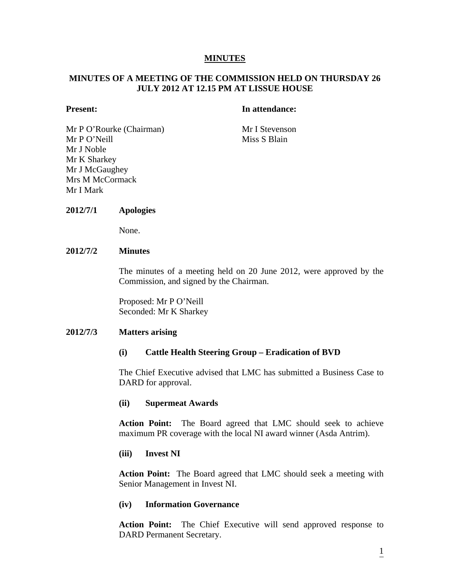#### **MINUTES**

## **MINUTES OF A MEETING OF THE COMMISSION HELD ON THURSDAY 26 JULY 2012 AT 12.15 PM AT LISSUE HOUSE**

#### **Present:** In attendance:

Mr P O'Rourke (Chairman) Mr I Stevenson Mr P O'Neill Miss S Blain Mr J Noble Mr K Sharkey Mr J McGaughey Mrs M McCormack Mr I Mark

#### **2012/7/1 Apologies**

None.

## **2012/7/2 Minutes**

The minutes of a meeting held on 20 June 2012, were approved by the Commission, and signed by the Chairman.

Proposed: Mr P O'Neill Seconded: Mr K Sharkey

#### **2012/7/3 Matters arising**

#### **(i) Cattle Health Steering Group – Eradication of BVD**

The Chief Executive advised that LMC has submitted a Business Case to DARD for approval.

#### **(ii) Supermeat Awards**

**Action Point:** The Board agreed that LMC should seek to achieve maximum PR coverage with the local NI award winner (Asda Antrim).

#### **(iii) Invest NI**

**Action Point:** The Board agreed that LMC should seek a meeting with Senior Management in Invest NI.

#### **(iv) Information Governance**

**Action Point:** The Chief Executive will send approved response to DARD Permanent Secretary.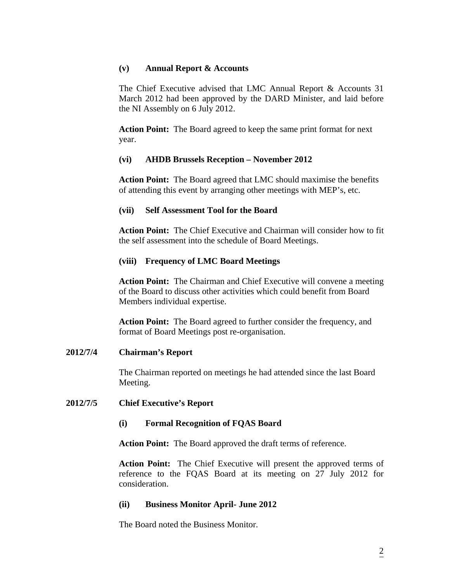## **(v) Annual Report & Accounts**

The Chief Executive advised that LMC Annual Report & Accounts 31 March 2012 had been approved by the DARD Minister, and laid before the NI Assembly on 6 July 2012.

 **Action Point:** The Board agreed to keep the same print format for next year.

# **(vi) AHDB Brussels Reception – November 2012**

 **Action Point:** The Board agreed that LMC should maximise the benefits of attending this event by arranging other meetings with MEP's, etc.

## **(vii) Self Assessment Tool for the Board**

**Action Point:** The Chief Executive and Chairman will consider how to fit the self assessment into the schedule of Board Meetings.

## **(viii) Frequency of LMC Board Meetings**

 **Action Point:** The Chairman and Chief Executive will convene a meeting of the Board to discuss other activities which could benefit from Board Members individual expertise.

 **Action Point:** The Board agreed to further consider the frequency, and format of Board Meetings post re-organisation.

## **2012/7/4 Chairman's Report**

The Chairman reported on meetings he had attended since the last Board Meeting.

## **2012/7/5 Chief Executive's Report**

## **(i) Formal Recognition of FQAS Board**

**Action Point:** The Board approved the draft terms of reference.

**Action Point:** The Chief Executive will present the approved terms of reference to the FQAS Board at its meeting on 27 July 2012 for consideration.

## **(ii) Business Monitor April- June 2012**

The Board noted the Business Monitor.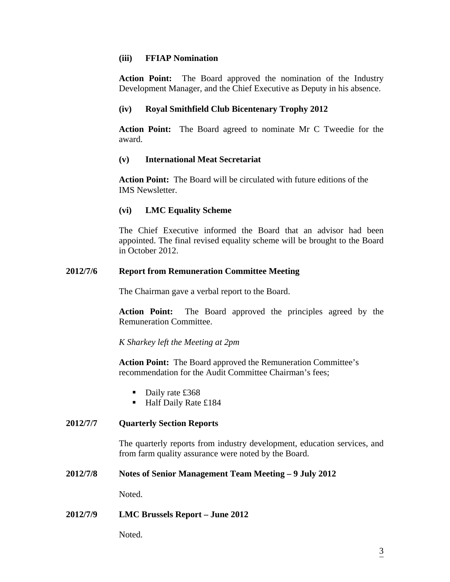## **(iii) FFIAP Nomination**

**Action Point:** The Board approved the nomination of the Industry Development Manager, and the Chief Executive as Deputy in his absence.

## **(iv) Royal Smithfield Club Bicentenary Trophy 2012**

**Action Point:** The Board agreed to nominate Mr C Tweedie for the award.

## **(v) International Meat Secretariat**

 **Action Point:** The Board will be circulated with future editions of the IMS Newsletter.

## **(vi) LMC Equality Scheme**

The Chief Executive informed the Board that an advisor had been appointed. The final revised equality scheme will be brought to the Board in October 2012.

#### **2012/7/6 Report from Remuneration Committee Meeting**

The Chairman gave a verbal report to the Board.

**Action Point:** The Board approved the principles agreed by the Remuneration Committee.

*K Sharkey left the Meeting at 2pm* 

 **Action Point:** The Board approved the Remuneration Committee's recommendation for the Audit Committee Chairman's fees;

- Daily rate £368
- Half Daily Rate £184

## **2012/7/7 Quarterly Section Reports**

The quarterly reports from industry development, education services, and from farm quality assurance were noted by the Board.

#### **2012/7/8 Notes of Senior Management Team Meeting – 9 July 2012**

Noted.

#### **2012/7/9 LMC Brussels Report – June 2012**

Noted.